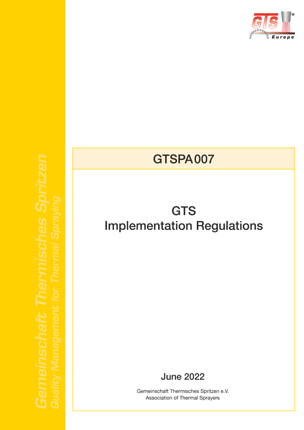

# GTSPA007

# **GTS Implementation Regulations**

**June 2022** 

Gemeinschaft Thermisches Spritzen e.V. Association of Thermal Sprayers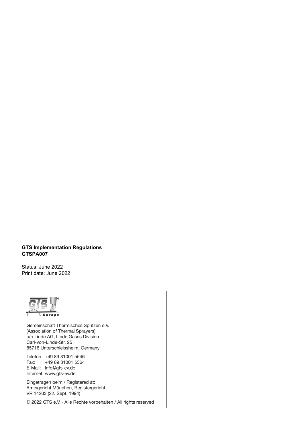#### **GTS Implementation Regulations GTSPA007**

Status: June 2022 Print date: June 2022



Gemeinschaft Thermisches Spritzen e.V. (Association of Thermal Sprayers) c/o Linde AG, Linde Gases Division Carl-von-Linde-Str. 25 85716 Unterschleissheim, Germany

Telefon: +49 89 31001 5546 +49 89 31001 5364 Fax: E-Mail: info@gts-ev.de Internet: www.gts-ev.de

Eingetragen beim / Registered at: Amtsgericht München, Registergericht: VR 14203 (22. Sept. 1994)

© 2022 GTS e.V. · Alle Rechte vorbehalten / All rights reserved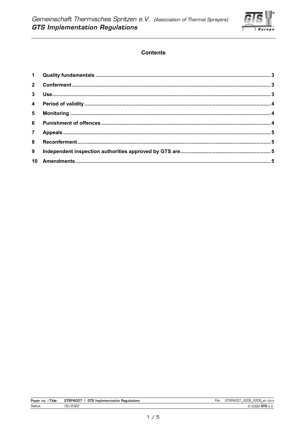

# **Contents**

| Paper no.<br>litle: | GTSPA007<br><b>GTS</b><br>l Implementation<br>Regulations | <b>PPOR</b><br><b>2206</b><br><b>CTCDA</b><br>en.docx<br>-ıle<br><b>LELL</b><br>$-$ |
|---------------------|-----------------------------------------------------------|-------------------------------------------------------------------------------------|
| Status:             | 06/2022                                                   | $\degree$ PQ22 GTS e.v.                                                             |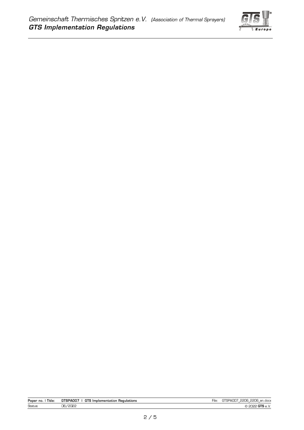

| Paper no.<br>Title: | <b>GTS</b><br>GTSPA00 <sup>-</sup><br>Regulations<br>i Implementation | -ıle | nnne<br>cooc<br>1.docx<br>on<br>$-$<br>$\overline{\phantom{a}}$<br>$-$ |
|---------------------|-----------------------------------------------------------------------|------|------------------------------------------------------------------------|
| <b>Status</b>       | 10000<br>הר<br>=uee<br>-                                              |      | e. v                                                                   |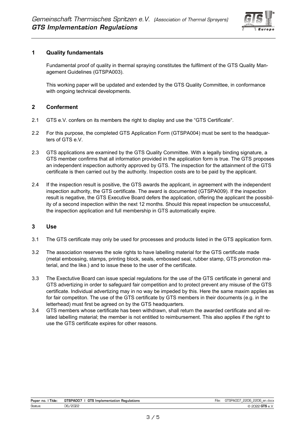

# <span id="page-4-0"></span>**1 Quality fundamentals**

Fundamental proof of quality in thermal spraying constitutes the fulfilment of the GTS Quality Management Guidelines (GTSPA003).

This working paper will be updated and extended by the GTS Quality Committee, in conformance with ongoing technical developments.

# <span id="page-4-1"></span>**2 Conferment**

- 2.1 GTS e.V. confers on its members the right to display and use the "GTS Certificate".
- 2.2 For this purpose, the completed GTS Application Form (GTSPA004) must be sent to the headquarters of GTS e.V.
- 2.3 GTS applications are examined by the GTS Quality Committee. With a legally binding signature, a GTS member confirms that all information provided in the application form is true. The GTS proposes an independent inspection authority approved by GTS. The inspection for the attainment of the GTS certificate is then carried out by the authority. Inspection costs are to be paid by the applicant.
- 2.4 If the inspection result is positive, the GTS awards the applicant, in agreement with the independent inspection authority, the GTS certificate. The award is documented (GTSPA009). If the inspection result is negative, the GTS Executive Board defers the application, offering the applicant the possibility of a second inspection within the next 12 months. Should this repeat inspection be unsuccessful, the inspection application and full membership in GTS automatically expire.

#### <span id="page-4-2"></span>**3 Use**

- 3.1 The GTS certificate may only be used for processes and products listed in the GTS application form.
- 3.2 The association reserves the sole rights to have labelling material for the GTS certificate made (metal embossing, stamps, printing block, seals, embossed seal, rubber stamp, GTS promotion material, and the like.) and to issue these to the user of the certificate.
- 3.3 The Exectutive Board can issue special regulations for the use of the GTS certificate in general and GTS advertizing in order to safeguard fair competition and to protect prevent any misuse of the GTS certificate. Individual advertizing may in no way be impeded by this. Here the same maxim applies as for fair competiton. The use of the GTS certificate by GTS members in their documents (e.g. in the letterhead) must first be agreed on by the GTS headquarters.
- 3.4 GTS members whose certificate has been withdrawn, shall return the awarded certificate and all related labelling material; the member is not entitled to reimbursement. This also applies if the right to use the GTS certificate expires for other reasons.

| Paper no. .<br>Title: | <b>GTS</b> Implementation<br>GTSPA007<br>Regulations | ⊢ıle | <b>POOG</b><br><b>AUSS</b><br>GTSPAOO7<br>en docx<br>Jbi |
|-----------------------|------------------------------------------------------|------|----------------------------------------------------------|
| Status:               | :/2022                                               |      | <sub>≏</sub> רי ∩                                        |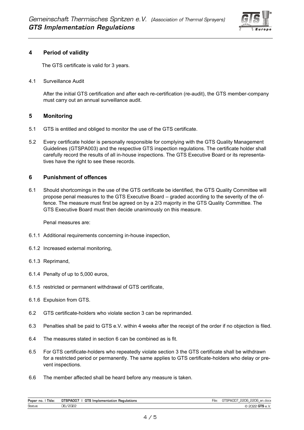

### <span id="page-5-0"></span>**4 Period of validity**

The GTS certificate is valid for 3 years.

4.1 Surveillance Audit

After the initial GTS certification and after each re-certification (re-audit), the GTS member-company must carry out an annual surveillance audit.

#### <span id="page-5-1"></span>**5 Monitoring**

- 5.1 GTS is entitled and obliged to monitor the use of the GTS certificate.
- 5.2 Every certificate holder is personally responsible for complying with the GTS Quality Management Guidelines (GTSPA003) and the respective GTS inspection regulations. The certificate holder shall carefully record the results of all in-house inspections. The GTS Executive Board or its representatives have the right to see these records.

### <span id="page-5-2"></span>**6 Punishment of offences**

6.1 Should shortcomings in the use of the GTS certificate be identified, the GTS Quality Committee will propose penal measures to the GTS Executive Board – graded according to the severity of the offence. The measure must first be agreed on by a 2/3 majority in the GTS Quality Committee. The GTS Executive Board must then decide unanimously on this measure.

Penal measures are:

- 6.1.1 Additional requirements concerning in-house inspection,
- 6.1.2 Increased external monitoring,
- 6.1.3 Reprimand,
- 6.1.4 Penalty of up to 5,000 euros,
- 6.1.5 restricted or permanent withdrawal of GTS certificate,
- 6.1.6 Expulsion from GTS.
- 6.2 GTS certificate-holders who violate section 3 can be reprimanded.
- 6.3 Penalties shall be paid to GTS e.V. within 4 weeks after the receipt of the order if no objection is filed.
- 6.4 The measures stated in section 6 can be combined as is fit.
- 6.5 For GTS certificate-holders who repeatedly violate section 3 the GTS certificate shall be withdrawn for a restricted period or permanently. The same applies to GTS certificate-holders who delay or prevent inspections.
- 6.6 The member affected shall be heard before any measure is taken.

| Paper no.<br>l itle: | <b>GTS</b><br>GTSPA007<br>Regulations<br>Implementation | Hile | ----<br>$\sim$<br>ed∧r<br>er<br>n.docx<br>'∽ال.<br>- 11<br>ו הו<br>-<br>$-$ |
|----------------------|---------------------------------------------------------|------|-----------------------------------------------------------------------------|
| Status:              | 10000<br>$\sim$<br>11 11<br>໋<br>יים ו<br>. ____        |      | $- - -$<br>. .                                                              |